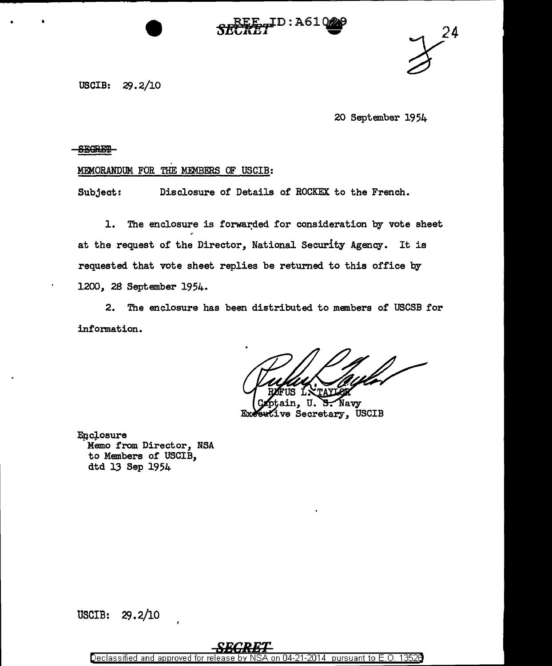ID:A61

 $\overline{\text{CREF}}$   $\frac{24}{2}$ 

USCIB: 29. 2/10

20 September 1954

# **BESREi**

# MEMORANDUM FOR THE MEMBERS OF USCIB:

Subject: Disclosure of Details of ROCKEX to the French.

1. The enclosure is forwarded for consideration by vote sheet at the request of the Director, National Security Agency. It is requested that vote sheet replies be retumed to this office by 1200, 28 September 1954.

2. The enclosure has been distributed to members of USCSB for information.

Navy U. ve Secretary, USCIB

**Enclosure** Memo from Director, NSA to Members of USCIB, dtd 13 Sep 1954

USCIB: 29. 2/10

Declassified and approved for release by NS on 04-21-2014 pursuant to E.O. 13526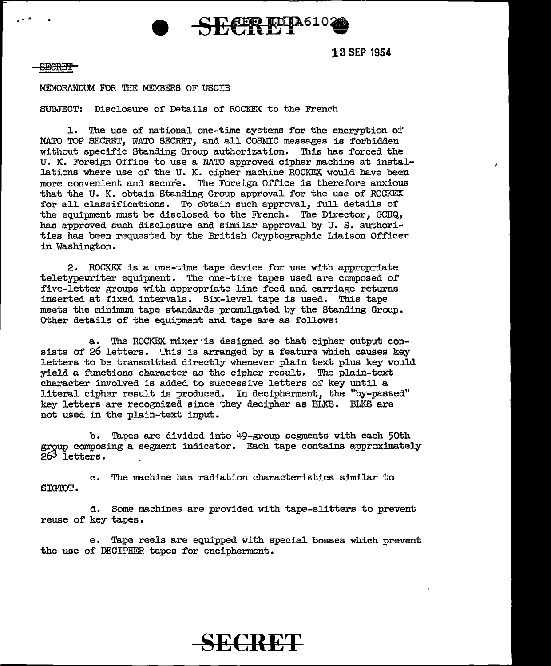

**13 SEP 1954** 

### **SECRET**

. - .

## MEMORANDUM FOR THE MEMBERS OF USCIB

SUBJECT: Disclosure of Details of ROCKEX to the French

l. The use of national one-time systems for the encryption of NATO TOP SECRET, NATO SECRET, and all COSMIC messages is forbidden without specific Standing Group authorization. This has forced the U. K. Foreign Office to use a NATO approved cipher machine at installations where use of the U. K. cipher machine ROCKEX would have been more convenient and secure. The Foreign Office is therefore anxious that the U. K. obtain Standing Group approval for the use of ROCKEX for all classifications. To obtain such approval, full details of the equipment must be disclosed to the French. The Director, GCHQ, has approved such disclosure and similar approval by U. S. authorities has been requested by the British Cryptographic Liaison Officer in Washington.

2. ROCKEX is a one-time tape device for use with appropriate teletypewriter equipment. The one-time tapes used are composed of five-letter groups with appropriate line feed and carriage returns inserted at fixed intervals. Six-level tape is used. This tape meets the minimum tape standards promulgated by the Standing Group. Other details of the equipment and tape are as follows:

a. The ROCKEX mixer is designed so that cipher output consists of 26 letters. This is arranged by a feature which causes key letters to be transmitted directly whenever plain text plus key would yield a functions character as the cipher result. The plain-text character involved is added to successive letters of key until a literal cipher result is produced. In decipherment, the "by-passed" key letters are recognized since they decipher as BLKS. BLKS are not used in the plain-text input.

b. Tapes are divided into 49-group segments with each 50th group composing a segment indicator. Each tape contains approximately 263 letters. .

c. The machine has radiation characteristics similar to SIGTOT.

d. Some machines are provided with tape-slitters to prevent reuse of key tapes.

e. Tape reels are equipped with special bosses which prevent the use of DECIPHER tapes for encipherment.